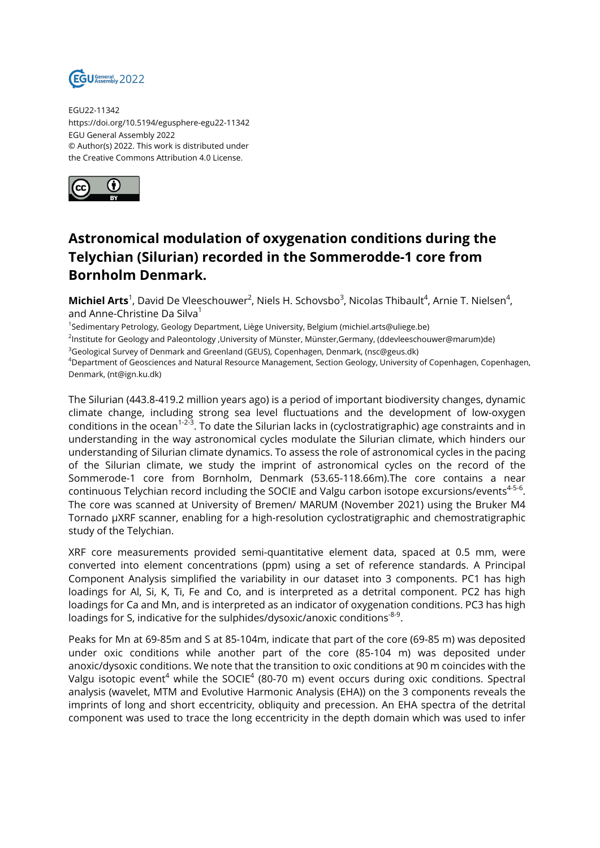

EGU22-11342 https://doi.org/10.5194/egusphere-egu22-11342 EGU General Assembly 2022 © Author(s) 2022. This work is distributed under the Creative Commons Attribution 4.0 License.



## **Astronomical modulation of oxygenation conditions during the Telychian (Silurian) recorded in the Sommerodde-1 core from Bornholm Denmark.**

**Michiel Arts**<sup>1</sup>, David De Vleeschouwer<sup>2</sup>, Niels H. Schovsbo<sup>3</sup>, Nicolas Thibault<sup>4</sup>, Arnie T. Nielsen<sup>4</sup>, and Anne-Christine Da Silva<sup>1</sup>

1 Sedimentary Petrology, Geology Department, Liège University, Belgium (michiel.arts@uliege.be)

<sup>2</sup>Institute for Geology and Paleontology ,University of Münster, Münster,Germany, (ddevleeschouwer@marum)de) <sup>3</sup>Geological Survey of Denmark and Greenland (GEUS), Copenhagen, Denmark, (nsc@geus.dk)

<sup>4</sup>Department of Geosciences and Natural Resource Management, Section Geology, University of Copenhagen, Copenhagen, Denmark, (nt@ign.ku.dk)

The Silurian (443.8-419.2 million years ago) is a period of important biodiversity changes, dynamic climate change, including strong sea level fluctuations and the development of low-oxygen conditions in the ocean<sup>1-2-3</sup>. To date the Silurian lacks in (cyclostratigraphic) age constraints and in understanding in the way astronomical cycles modulate the Silurian climate, which hinders our understanding of Silurian climate dynamics. To assess the role of astronomical cycles in the pacing of the Silurian climate, we study the imprint of astronomical cycles on the record of the Sommerode-1 core from Bornholm, Denmark (53.65-118.66m).The core contains a near continuous Telychian record including the SOCIE and Valgu carbon isotope excursions/events $^{4\text{-}5\text{-}6}.$ The core was scanned at University of Bremen/ MARUM (November 2021) using the Bruker M4 Tornado µXRF scanner, enabling for a high-resolution cyclostratigraphic and chemostratigraphic study of the Telychian.

XRF core measurements provided semi-quantitative element data, spaced at 0.5 mm, were converted into element concentrations (ppm) using a set of reference standards. A Principal Component Analysis simplified the variability in our dataset into 3 components. PC1 has high loadings for Al, Si, K, Ti, Fe and Co, and is interpreted as a detrital component. PC2 has high loadings for Ca and Mn, and is interpreted as an indicator of oxygenation conditions. PC3 has high loadings for S, indicative for the sulphides/dysoxic/anoxic conditions<sup>-8-9</sup>.

Peaks for Mn at 69-85m and S at 85-104m, indicate that part of the core (69-85 m) was deposited under oxic conditions while another part of the core (85-104 m) was deposited under anoxic/dysoxic conditions. We note that the transition to oxic conditions at 90 m coincides with the Valgu isotopic event $^4$  while the SOCIE $^4$  (80-70 m) event occurs during oxic conditions. Spectral analysis (wavelet, MTM and Evolutive Harmonic Analysis (EHA)) on the 3 components reveals the imprints of long and short eccentricity, obliquity and precession. An EHA spectra of the detrital component was used to trace the long eccentricity in the depth domain which was used to infer